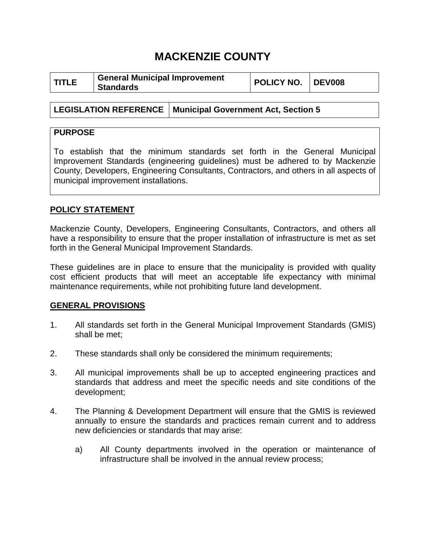## **MACKENZIE COUNTY**

|--|

**LEGISLATION REFERENCE Municipal Government Act, Section 5**

## **PURPOSE**

To establish that the minimum standards set forth in the General Municipal Improvement Standards (engineering guidelines) must be adhered to by Mackenzie County, Developers, Engineering Consultants, Contractors, and others in all aspects of municipal improvement installations.

## **POLICY STATEMENT**

Mackenzie County, Developers, Engineering Consultants, Contractors, and others all have a responsibility to ensure that the proper installation of infrastructure is met as set forth in the General Municipal Improvement Standards.

These guidelines are in place to ensure that the municipality is provided with quality cost efficient products that will meet an acceptable life expectancy with minimal maintenance requirements, while not prohibiting future land development.

## **GENERAL PROVISIONS**

- 1. All standards set forth in the General Municipal Improvement Standards (GMIS) shall be met;
- 2. These standards shall only be considered the minimum requirements;
- 3. All municipal improvements shall be up to accepted engineering practices and standards that address and meet the specific needs and site conditions of the development;
- 4. The Planning & Development Department will ensure that the GMIS is reviewed annually to ensure the standards and practices remain current and to address new deficiencies or standards that may arise:
	- a) All County departments involved in the operation or maintenance of infrastructure shall be involved in the annual review process;